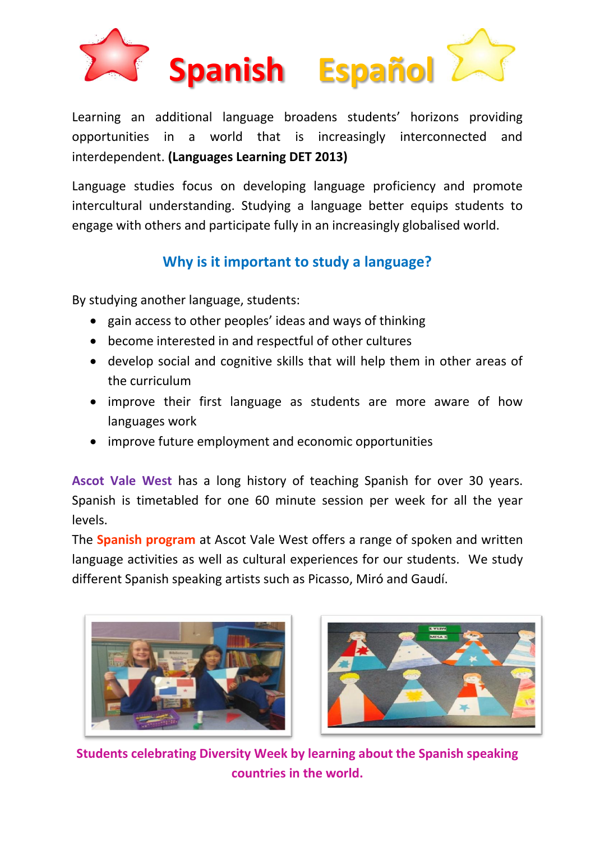

Learning an additional language broadens students' horizons providing opportunities in a world that is increasingly interconnected and interdependent. **(Languages Learning DET 2013)**

Language studies focus on developing language proficiency and promote intercultural understanding. Studying a language better equips students to engage with others and participate fully in an increasingly globalised world.

## **Why is it important to study a language?**

By studying another language, students:

- gain access to other peoples' ideas and ways of thinking
- become interested in and respectful of other cultures
- develop social and cognitive skills that will help them in other areas of the curriculum
- improve their first language as students are more aware of how languages work
- improve future employment and economic opportunities

**Ascot Vale West** has a long history of teaching Spanish for over 30 years. Spanish is timetabled for one 60 minute session per week for all the year levels.

The **Spanish program** at Ascot Vale West offers a range of spoken and written language activities as well as cultural experiences for our students. We study different Spanish speaking artists such as Picasso, Miró and Gaudí.





**Students celebrating Diversity Week by learning about the Spanish speaking countries in the world.**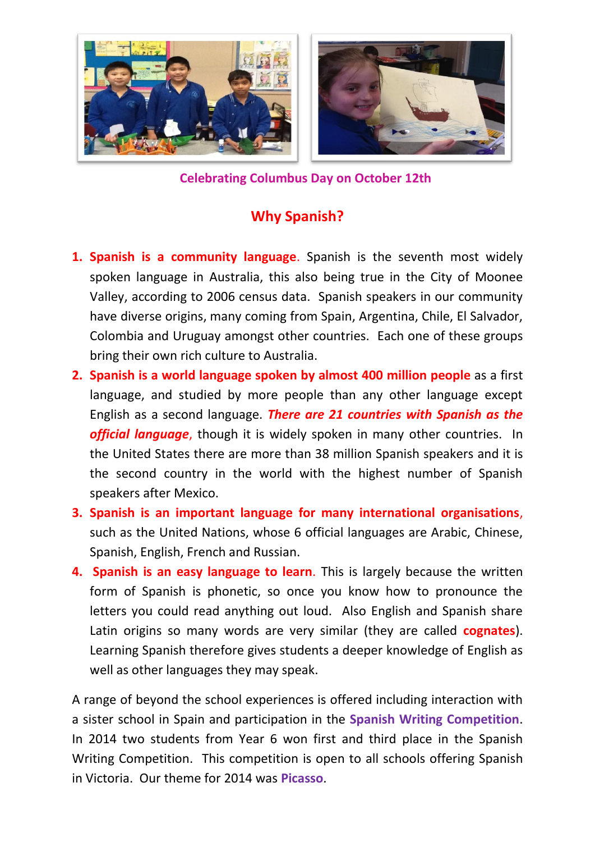

**Celebrating Columbus Day on October 12th**

## **Why Spanish?**

- **1. Spanish is a community language**. Spanish is the seventh most widely spoken language in Australia, this also being true in the City of Moonee Valley, according to 2006 census data. Spanish speakers in our community have diverse origins, many coming from Spain, Argentina, Chile, El Salvador, Colombia and Uruguay amongst other countries. Each one of these groups bring their own rich culture to Australia.
- **2. Spanish is a world language spoken by almost 400 million people** as a first language, and studied by more people than any other language except English as a second language. *There are 21 countries with Spanish as the official language*, though it is widely spoken in many other countries. In the United States there are more than 38 million Spanish speakers and it is the second country in the world with the highest number of Spanish speakers after Mexico.
- **3. Spanish is an important language for many international organisations**, such as the United Nations, whose 6 official languages are Arabic, Chinese, Spanish, English, French and Russian.
- **4. Spanish is an easy language to learn**. This is largely because the written form of Spanish is phonetic, so once you know how to pronounce the letters you could read anything out loud. Also English and Spanish share Latin origins so many words are very similar (they are called **cognates**). Learning Spanish therefore gives students a deeper knowledge of English as well as other languages they may speak.

A range of beyond the school experiences is offered including interaction with a sister school in Spain and participation in the **Spanish Writing Competition**. In 2014 two students from Year 6 won first and third place in the Spanish Writing Competition. This competition is open to all schools offering Spanish in Victoria. Our theme for 2014 was **Picasso**.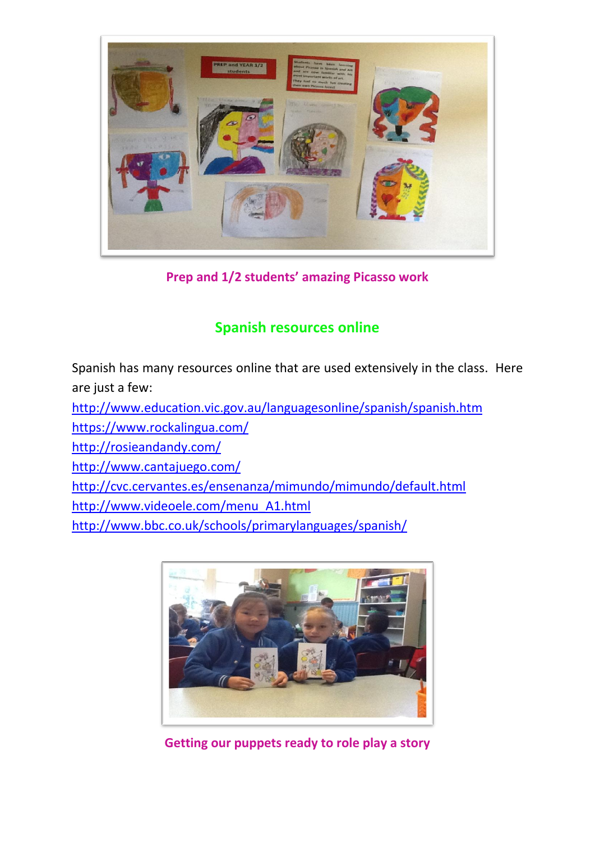

**Prep and 1/2 students' amazing Picasso work** 

## **Spanish resources online**

Spanish has many resources online that are used extensively in the class. Here are just a few:

<http://www.education.vic.gov.au/languagesonline/spanish/spanish.htm>

<https://www.rockalingua.com/>

<http://rosieandandy.com/>

<http://www.cantajuego.com/>

<http://cvc.cervantes.es/ensenanza/mimundo/mimundo/default.html>

[http://www.videoele.com/menu\\_A1.html](http://www.videoele.com/menu_A1.html)

<http://www.bbc.co.uk/schools/primarylanguages/spanish/>



**Getting our puppets ready to role play a story**